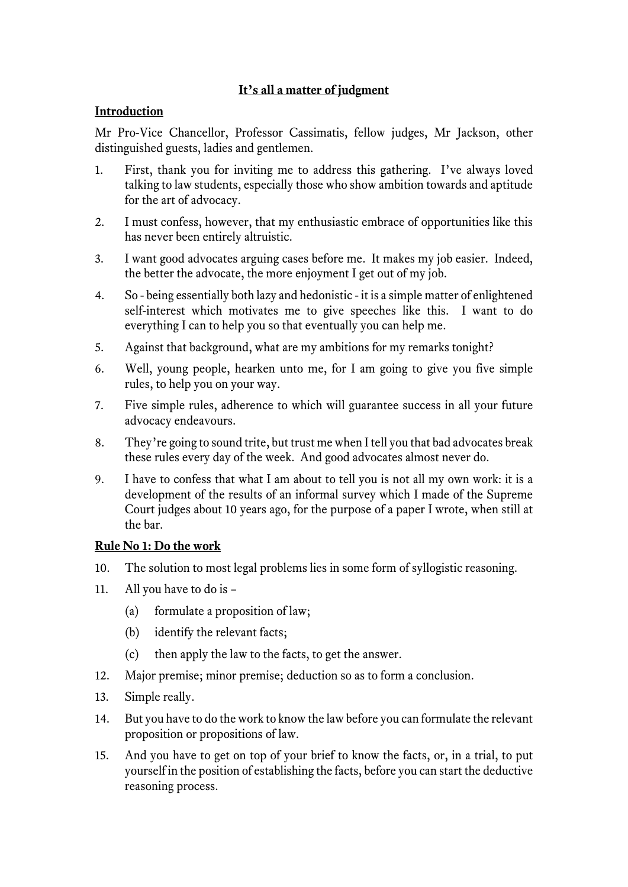# **It's all a matter of judgment**

## **Introduction**

Mr Pro-Vice Chancellor, Professor Cassimatis, fellow judges, Mr Jackson, other distinguished guests, ladies and gentlemen.

- 1. First, thank you for inviting me to address this gathering. I've always loved talking to law students, especially those who show ambition towards and aptitude for the art of advocacy.
- 2. I must confess, however, that my enthusiastic embrace of opportunities like this has never been entirely altruistic.
- 3. I want good advocates arguing cases before me. It makes my job easier. Indeed, the better the advocate, the more enjoyment I get out of my job.
- 4. So being essentially both lazy and hedonistic it is a simple matter of enlightened self-interest which motivates me to give speeches like this. I want to do everything I can to help you so that eventually you can help me.
- 5. Against that background, what are my ambitions for my remarks tonight?
- 6. Well, young people, hearken unto me, for I am going to give you five simple rules, to help you on your way.
- 7. Five simple rules, adherence to which will guarantee success in all your future advocacy endeavours.
- 8. They're going to sound trite, but trust me when I tell you that bad advocates break these rules every day of the week. And good advocates almost never do.
- 9. I have to confess that what I am about to tell you is not all my own work: it is a development of the results of an informal survey which I made of the Supreme Court judges about 10 years ago, for the purpose of a paper I wrote, when still at the bar.

### **Rule No 1: Do the work**

- 10. The solution to most legal problems lies in some form of syllogistic reasoning.
- 11. All you have to do is
	- (a) formulate a proposition of law;
	- (b) identify the relevant facts;
	- (c) then apply the law to the facts, to get the answer.
- 12. Major premise; minor premise; deduction so as to form a conclusion.
- 13. Simple really.
- 14. But you have to do the work to know the law before you can formulate the relevant proposition or propositions of law.
- 15. And you have to get on top of your brief to know the facts, or, in a trial, to put yourself in the position of establishing the facts, before you can start the deductive reasoning process.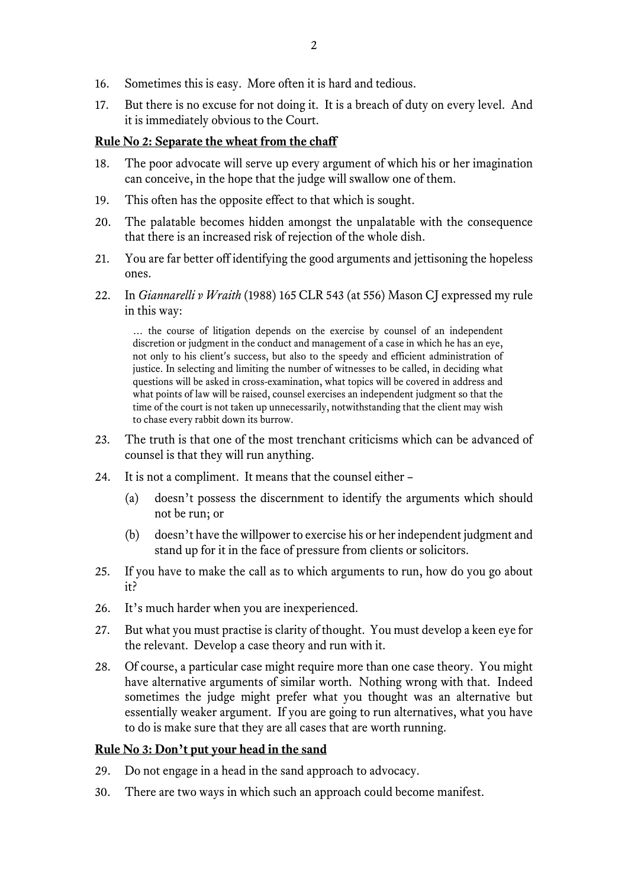- 16. Sometimes this is easy. More often it is hard and tedious.
- 17. But there is no excuse for not doing it. It is a breach of duty on every level. And it is immediately obvious to the Court.

### **Rule No 2: Separate the wheat from the chaff**

- 18. The poor advocate will serve up every argument of which his or her imagination can conceive, in the hope that the judge will swallow one of them.
- 19. This often has the opposite effect to that which is sought.
- 20. The palatable becomes hidden amongst the unpalatable with the consequence that there is an increased risk of rejection of the whole dish.
- 21. You are far better off identifying the good arguments and jettisoning the hopeless ones.
- 22. In *Giannarelli v Wraith* (1988) 165 CLR 543 (at 556) Mason CJ expressed my rule in this way:

… the course of litigation depends on the exercise by counsel of an independent discretion or judgment in the conduct and management of a case in which he has an eye, not only to his client's success, but also to the speedy and efficient administration of justice. In selecting and limiting the number of witnesses to be called, in deciding what questions will be asked in cross-examination, what topics will be covered in address and what points of law will be raised, counsel exercises an independent judgment so that the time of the court is not taken up unnecessarily, notwithstanding that the client may wish to chase every rabbit down its burrow.

- 23. The truth is that one of the most trenchant criticisms which can be advanced of counsel is that they will run anything.
- 24. It is not a compliment. It means that the counsel either
	- (a) doesn't possess the discernment to identify the arguments which should not be run; or
	- (b) doesn't have the willpower to exercise his or her independent judgment and stand up for it in the face of pressure from clients or solicitors.
- 25. If you have to make the call as to which arguments to run, how do you go about it?
- 26. It's much harder when you are inexperienced.
- 27. But what you must practise is clarity of thought. You must develop a keen eye for the relevant. Develop a case theory and run with it.
- 28. Of course, a particular case might require more than one case theory. You might have alternative arguments of similar worth. Nothing wrong with that. Indeed sometimes the judge might prefer what you thought was an alternative but essentially weaker argument. If you are going to run alternatives, what you have to do is make sure that they are all cases that are worth running.

### **Rule No 3: Don't put your head in the sand**

- 29. Do not engage in a head in the sand approach to advocacy.
- 30. There are two ways in which such an approach could become manifest.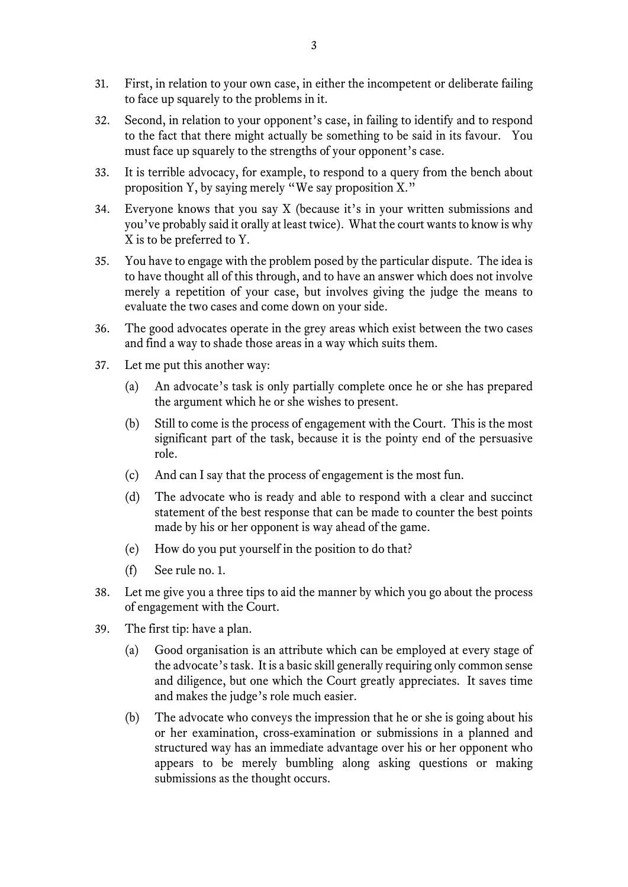- 31. First, in relation to your own case, in either the incompetent or deliberate failing to face up squarely to the problems in it.
- 32. Second, in relation to your opponent's case, in failing to identify and to respond to the fact that there might actually be something to be said in its favour. You must face up squarely to the strengths of your opponent's case.
- 33. It is terrible advocacy, for example, to respond to a query from the bench about proposition Y, by saying merely "We say proposition X."
- 34. Everyone knows that you say X (because it's in your written submissions and you've probably said it orally at least twice). What the court wants to know is why X is to be preferred to Y.
- 35. You have to engage with the problem posed by the particular dispute. The idea is to have thought all of this through, and to have an answer which does not involve merely a repetition of your case, but involves giving the judge the means to evaluate the two cases and come down on your side.
- 36. The good advocates operate in the grey areas which exist between the two cases and find a way to shade those areas in a way which suits them.
- 37. Let me put this another way:
	- (a) An advocate's task is only partially complete once he or she has prepared the argument which he or she wishes to present.
	- (b) Still to come is the process of engagement with the Court. This is the most significant part of the task, because it is the pointy end of the persuasive role.
	- (c) And can I say that the process of engagement is the most fun.
	- (d) The advocate who is ready and able to respond with a clear and succinct statement of the best response that can be made to counter the best points made by his or her opponent is way ahead of the game.
	- (e) How do you put yourself in the position to do that?
	- (f) See rule no. 1.
- 38. Let me give you a three tips to aid the manner by which you go about the process of engagement with the Court.
- 39. The first tip: have a plan.
	- (a) Good organisation is an attribute which can be employed at every stage of the advocate's task. It is a basic skill generally requiring only common sense and diligence, but one which the Court greatly appreciates. It saves time and makes the judge's role much easier.
	- (b) The advocate who conveys the impression that he or she is going about his or her examination, cross-examination or submissions in a planned and structured way has an immediate advantage over his or her opponent who appears to be merely bumbling along asking questions or making submissions as the thought occurs.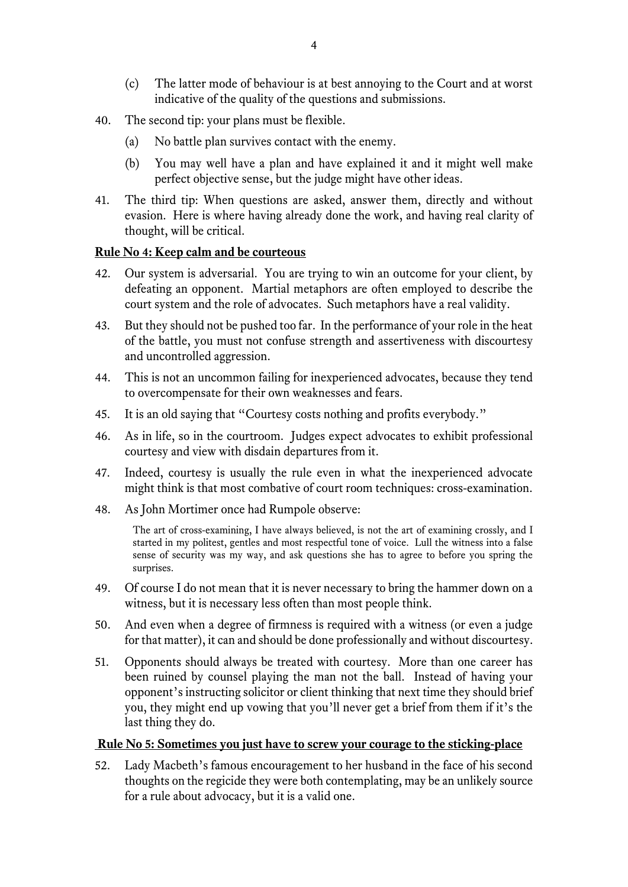- (c) The latter mode of behaviour is at best annoying to the Court and at worst indicative of the quality of the questions and submissions.
- 40. The second tip: your plans must be flexible.
	- (a) No battle plan survives contact with the enemy.
	- (b) You may well have a plan and have explained it and it might well make perfect objective sense, but the judge might have other ideas.
- 41. The third tip: When questions are asked, answer them, directly and without evasion. Here is where having already done the work, and having real clarity of thought, will be critical.

### **Rule No 4: Keep calm and be courteous**

- 42. Our system is adversarial. You are trying to win an outcome for your client, by defeating an opponent. Martial metaphors are often employed to describe the court system and the role of advocates. Such metaphors have a real validity.
- 43. But they should not be pushed too far. In the performance of your role in the heat of the battle, you must not confuse strength and assertiveness with discourtesy and uncontrolled aggression.
- 44. This is not an uncommon failing for inexperienced advocates, because they tend to overcompensate for their own weaknesses and fears.
- 45. It is an old saying that "Courtesy costs nothing and profits everybody."
- 46. As in life, so in the courtroom. Judges expect advocates to exhibit professional courtesy and view with disdain departures from it.
- 47. Indeed, courtesy is usually the rule even in what the inexperienced advocate might think is that most combative of court room techniques: cross-examination.
- 48. As John Mortimer once had Rumpole observe:

The art of cross-examining, I have always believed, is not the art of examining crossly, and I started in my politest, gentles and most respectful tone of voice. Lull the witness into a false sense of security was my way, and ask questions she has to agree to before you spring the surprises.

- 49. Of course I do not mean that it is never necessary to bring the hammer down on a witness, but it is necessary less often than most people think.
- 50. And even when a degree of firmness is required with a witness (or even a judge for that matter), it can and should be done professionally and without discourtesy.
- 51. Opponents should always be treated with courtesy. More than one career has been ruined by counsel playing the man not the ball. Instead of having your opponent's instructing solicitor or client thinking that next time they should brief you, they might end up vowing that you'll never get a brief from them if it's the last thing they do.

#### **Rule No 5: Sometimes you just have to screw your courage to the sticking-place**

52. Lady Macbeth's famous encouragement to her husband in the face of his second thoughts on the regicide they were both contemplating, may be an unlikely source for a rule about advocacy, but it is a valid one.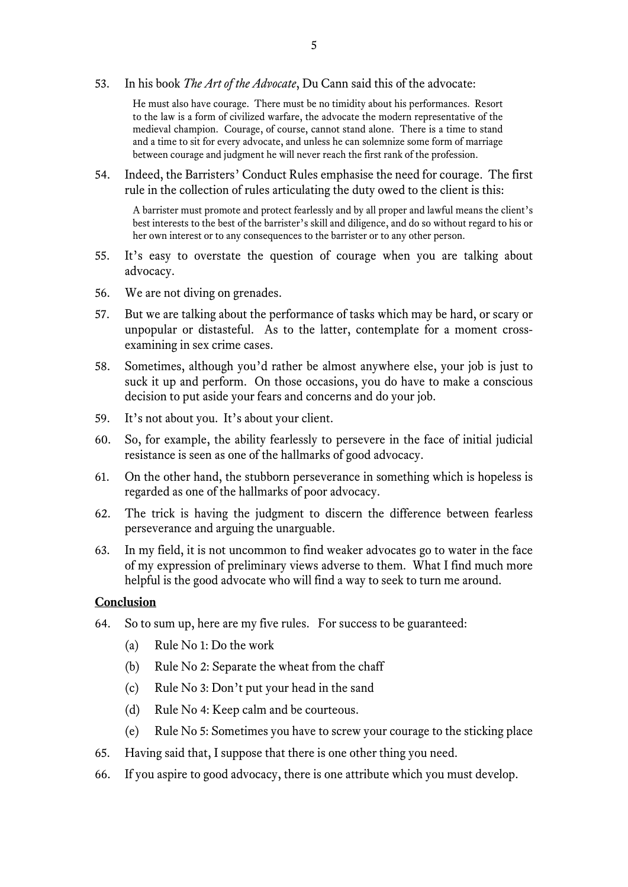53. In his book *The Art of the Advocate*, Du Cann said this of the advocate:

He must also have courage. There must be no timidity about his performances. Resort to the law is a form of civilized warfare, the advocate the modern representative of the medieval champion. Courage, of course, cannot stand alone. There is a time to stand and a time to sit for every advocate, and unless he can solemnize some form of marriage between courage and judgment he will never reach the first rank of the profession.

54. Indeed, the Barristers' Conduct Rules emphasise the need for courage. The first rule in the collection of rules articulating the duty owed to the client is this:

A barrister must promote and protect fearlessly and by all proper and lawful means the client's best interests to the best of the barrister's skill and diligence, and do so without regard to his or her own interest or to any consequences to the barrister or to any other person.

- 55. It's easy to overstate the question of courage when you are talking about advocacy.
- 56. We are not diving on grenades.
- 57. But we are talking about the performance of tasks which may be hard, or scary or unpopular or distasteful. As to the latter, contemplate for a moment crossexamining in sex crime cases.
- 58. Sometimes, although you'd rather be almost anywhere else, your job is just to suck it up and perform. On those occasions, you do have to make a conscious decision to put aside your fears and concerns and do your job.
- 59. It's not about you. It's about your client.
- 60. So, for example, the ability fearlessly to persevere in the face of initial judicial resistance is seen as one of the hallmarks of good advocacy.
- 61. On the other hand, the stubborn perseverance in something which is hopeless is regarded as one of the hallmarks of poor advocacy.
- 62. The trick is having the judgment to discern the difference between fearless perseverance and arguing the unarguable.
- 63. In my field, it is not uncommon to find weaker advocates go to water in the face of my expression of preliminary views adverse to them. What I find much more helpful is the good advocate who will find a way to seek to turn me around.

### **Conclusion**

- 64. So to sum up, here are my five rules. For success to be guaranteed:
	- (a) Rule No 1: Do the work
	- (b) Rule No 2: Separate the wheat from the chaff
	- (c) Rule No 3: Don't put your head in the sand
	- (d) Rule No 4: Keep calm and be courteous.
	- (e) Rule No 5: Sometimes you have to screw your courage to the sticking place
- 65. Having said that, I suppose that there is one other thing you need.
- 66. If you aspire to good advocacy, there is one attribute which you must develop.